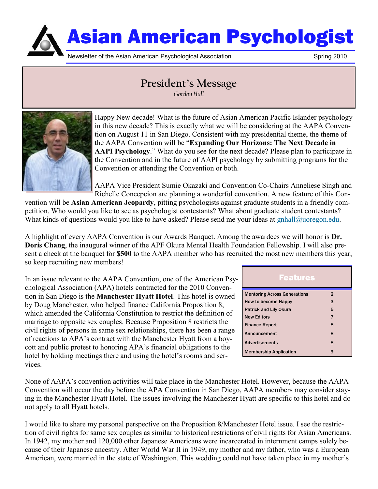

## **President's Message** *Gordon Hall*



Happy New decade! What is the future of Asian American Pacific Islander psychology in this new decade? This is exactly what we will be considering at the AAPA Convention on August 11 in San Diego. Consistent with my presidential theme, the theme of the AAPA Convention will be "**Expanding Our Horizons: The Next Decade in AAPI Psychology**." What do you see for the next decade? Please plan to participate in the Convention and in the future of AAPI psychology by submitting programs for the Convention or attending the Convention or both.

AAPA Vice President Sumie Okazaki and Convention Co-Chairs Anneliese Singh and Richelle Concepcion are planning a wonderful convention. A new feature of this Con-

vention will be **Asian American Jeopardy**, pitting psychologists against graduate students in a friendly competition. Who would you like to see as psychologist contestants? What about graduate student contestants? What kinds of questions would you like to have asked? Please send me your ideas at gnhall@uoregon.edu.

A highlight of every AAPA Convention is our Awards Banquet. Among the awardees we will honor is **Dr. Doris Chang**, the inaugural winner of the APF Okura Mental Health Foundation Fellowship. I will also present a check at the banquet for **\$500** to the AAPA member who has recruited the most new members this year, so keep recruiting new members!

In an issue relevant to the AAPA Convention, one of the American Psychological Association (APA) hotels contracted for the 2010 Convention in San Diego is the **Manchester Hyatt Hotel**. This hotel is owned by Doug Manchester, who helped finance California Proposition 8, which amended the California Constitution to restrict the definition of marriage to opposite sex couples. Because Proposition 8 restricts the civil rights of persons in same sex relationships, there has been a range of reactions to APA's contract with the Manchester Hyatt from a boycott and public protest to honoring APA's financial obligations to the hotel by holding meetings there and using the hotel's rooms and services.

| <b>Features</b>                     |                |
|-------------------------------------|----------------|
| <b>Mentoring Across Generations</b> | $\overline{2}$ |
| How to become Happy                 | 3              |
| <b>Patrick and Lily Okura</b>       | 5              |
| <b>New Editors</b>                  | 7              |
| <b>Finance Report</b>               | 8              |
| Announcement                        | 8              |
| <b>Advertisements</b>               | 8              |
| <b>Membership Application</b>       | 9              |

None of AAPA's convention activities will take place in the Manchester Hotel. However, because the AAPA Convention will occur the day before the APA Convention in San Diego, AAPA members may consider staying in the Manchester Hyatt Hotel. The issues involving the Manchester Hyatt are specific to this hotel and do not apply to all Hyatt hotels.

I would like to share my personal perspective on the Proposition 8/Manchester Hotel issue. I see the restriction of civil rights for same sex couples as similar to historical restrictions of civil rights for Asian Americans. In 1942, my mother and 120,000 other Japanese Americans were incarcerated in internment camps solely because of their Japanese ancestry. After World War II in 1949, my mother and my father, who was a European American, were married in the state of Washington. This wedding could not have taken place in my mother's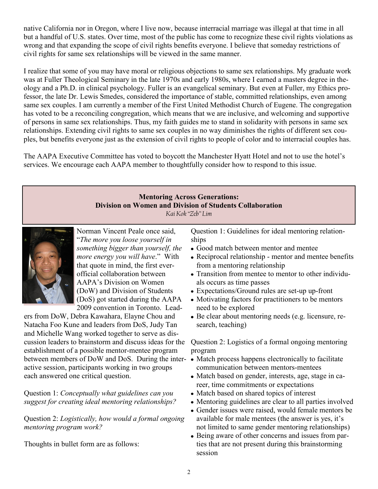native California nor in Oregon, where I live now, because interracial marriage was illegal at that time in all but a handful of U.S. states. Over time, most of the public has come to recognize these civil rights violations as wrong and that expanding the scope of civil rights benefits everyone. I believe that someday restrictions of civil rights for same sex relationships will be viewed in the same manner.

I realize that some of you may have moral or religious objections to same sex relationships. My graduate work was at Fuller Theological Seminary in the late 1970s and early 1980s, where I earned a masters degree in theology and a Ph.D. in clinical psychology. Fuller is an evangelical seminary. But even at Fuller, my Ethics professor, the late Dr. Lewis Smedes, considered the importance of stable, committed relationships, even among same sex couples. I am currently a member of the First United Methodist Church of Eugene. The congregation has voted to be a reconciling congregation, which means that we are inclusive, and welcoming and supportive of persons in same sex relationships. Thus, my faith guides me to stand in solidarity with persons in same sex relationships. Extending civil rights to same sex couples in no way diminishes the rights of different sex couples, but benefits everyone just as the extension of civil rights to people of color and to interracial couples has.

The AAPA Executive Committee has voted to boycott the Manchester Hyatt Hotel and not to use the hotel's services. We encourage each AAPA member to thoughtfully consider how to respond to this issue.

### **Mentoring Across Generations: Division on Women and Division of Students Collaboration**

*Kai Kok "Zeb" Lim*



Norman Vincent Peale once said, "*The more you loose yourself in something bigger than yourself, the more energy you will have*." With that quote in mind, the first everofficial collaboration between AAPA's Division on Women (DoW) and Division of Students (DoS) got started during the AAPA 2009 convention in Toronto. Lead-

ers from DoW, Debra Kawahara, Elayne Chou and Natacha Foo Kune and leaders from DoS, Judy Tan and Michelle Wang worked together to serve as discussion leaders to brainstorm and discuss ideas for the establishment of a possible mentor-mentee program between members of DoW and DoS. During the interactive session, participants working in two groups each answered one critical question.

Question 1: *Conceptually what guidelines can you suggest for creating ideal mentoring relationships?* 

Question 2: *Logistically, how would a formal ongoing mentoring program work?*

Thoughts in bullet form are as follows:

Question 1: Guidelines for ideal mentoring relationships

- Good match between mentor and mentee
- Reciprocal relationship mentor and mentee benefits from a mentoring relationship
- Transition from mentee to mentor to other individuals occurs as time passes
- Expectations/Ground rules are set-up up-front
- Motivating factors for practitioners to be mentors need to be explored
- Be clear about mentoring needs (e.g. licensure, research, teaching)

Question 2: Logistics of a formal ongoing mentoring program

- Match process happens electronically to facilitate communication between mentors-mentees
- Match based on gender, interests, age, stage in career, time commitments or expectations
- Match based on shared topics of interest
- Mentoring guidelines are clear to all parties involved
- Gender issues were raised, would female mentors be available for male mentees (the answer is yes, it's not limited to same gender mentoring relationships)
- Being aware of other concerns and issues from parties that are not present during this brainstorming session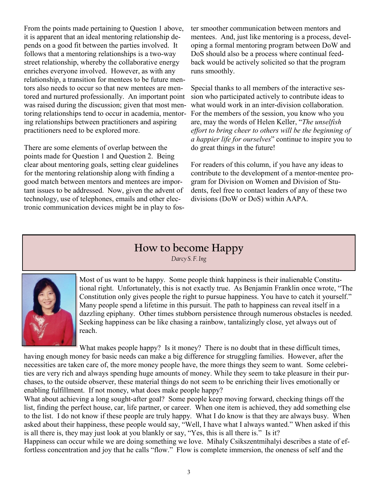From the points made pertaining to Question 1 above, it is apparent that an ideal mentoring relationship depends on a good fit between the parties involved. It follows that a mentoring relationships is a two-way street relationship, whereby the collaborative energy enriches everyone involved. However, as with any relationship, a transition for mentees to be future mentors also needs to occur so that new mentees are mentored and nurtured professionally. An important point was raised during the discussion; given that most mentoring relationships tend to occur in academia, mentoring relationships between practitioners and aspiring practitioners need to be explored more.

There are some elements of overlap between the points made for Question 1 and Question 2. Being clear about mentoring goals, setting clear guidelines for the mentoring relationship along with finding a good match between mentors and mentees are important issues to be addressed. Now, given the advent of technology, use of telephones, emails and other electronic communication devices might be in play to foster smoother communication between mentors and mentees. And, just like mentoring is a process, developing a formal mentoring program between DoW and DoS should also be a process where continual feedback would be actively solicited so that the program runs smoothly.

Special thanks to all members of the interactive session who participated actively to contribute ideas to what would work in an inter-division collaboration. For the members of the session, you know who you are, may the words of Helen Keller, "*The unselfish effort to bring cheer to others will be the beginning of a happier life for ourselves*" continue to inspire you to do great things in the future!

For readers of this column, if you have any ideas to contribute to the development of a mentor-mentee program for Division on Women and Division of Students, feel free to contact leaders of any of these two divisions (DoW or DoS) within AAPA.

## **How to become Happy**

*Darcy S. F. Ing*



Most of us want to be happy. Some people think happiness is their inalienable Constitutional right. Unfortunately, this is not exactly true. As Benjamin Franklin once wrote, "The Constitution only gives people the right to pursue happiness. You have to catch it yourself." Many people spend a lifetime in this pursuit. The path to happiness can reveal itself in a dazzling epiphany. Other times stubborn persistence through numerous obstacles is needed. Seeking happiness can be like chasing a rainbow, tantalizingly close, yet always out of reach.

What makes people happy? Is it money? There is no doubt that in these difficult times, having enough money for basic needs can make a big difference for struggling families. However, after the necessities are taken care of, the more money people have, the more things they seem to want. Some celebrities are very rich and always spending huge amounts of money. While they seem to take pleasure in their purchases, to the outside observer, these material things do not seem to be enriching their lives emotionally or enabling fulfillment. If not money, what does make people happy?

What about achieving a long sought-after goal? Some people keep moving forward, checking things off the list, finding the perfect house, car, life partner, or career. When one item is achieved, they add something else to the list. I do not know if these people are truly happy. What I do know is that they are always busy. When asked about their happiness, these people would say, "Well, I have what I always wanted." When asked if this is all there is, they may just look at you blankly or say, "Yes, this is all there is." Is it?

Happiness can occur while we are doing something we love. Mihaly Csikszentmihalyi describes a state of effortless concentration and joy that he calls "flow." Flow is complete immersion, the oneness of self and the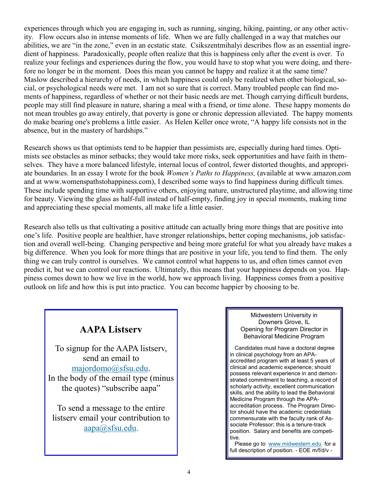experiences through which you are engaging in, such as running, singing, hiking, painting, or any other activity. Flow occurs also in intense moments of life. When we are fully challenged in a way that matches our abilities, we are "in the zone," even in an ecstatic state. Csikszentmihalyi describes flow as an essential ingredient of happiness. Paradoxically, people often realize that this is happiness only after the event is over. To realize your feelings and experiences during the flow, you would have to stop what you were doing, and therefore no longer be in the moment. Does this mean you cannot be happy and realize it at the same time? Maslow described a hierarchy of needs, in which happiness could only be realized when other biological, social, or psychological needs were met. I am not so sure that is correct. Many troubled people can find moments of happiness, regardless of whether or not their basic needs are met. Though carrying difficult burdens, people may still find pleasure in nature, sharing a meal with a friend, or time alone. These happy moments do not mean troubles go away entirely, that poverty is gone or chronic depression alleviated. The happy moments do make bearing one's problems a little easier. As Helen Keller once wrote, "A happy life consists not in the absence, but in the mastery of hardships."

Research shows us that optimists tend to be happier than pessimists are, especially during hard times. Optimists see obstacles as minor setbacks; they would take more risks, seek opportunities and have faith in themselves. They have a more balanced lifestyle, internal locus of control, fewer distorted thoughts, and appropriate boundaries. In an essay I wrote for the book *Women's Paths to Happiness,* (available at www.amazon.com and at www.womenspathstohappiness.com), I described some ways to find happiness during difficult times. These include spending time with supportive others, enjoying nature, unstructured playtime, and allowing time for beauty. Viewing the glass as half-full instead of half-empty, finding joy in special moments, making time and appreciating these special moments, all make life a little easier.

Research also tells us that cultivating a positive attitude can actually bring more things that are positive into one's life. Positive people are healthier, have stronger relationships, better coping mechanisms, job satisfaction and overall well-being. Changing perspective and being more grateful for what you already have makes a big difference. When you look for more things that are positive in your life, you tend to find them. The only thing we can truly control is ourselves. We cannot control what happens to us, and often times cannot even predict it, but we can control our reactions. Ultimately, this means that your happiness depends on you. Happiness comes down to how we live in the world, how we approach living. Happiness comes from a positive outlook on life and how this is put into practice. You can become happier by choosing to be.

## **AAPA Listserv**

To signup for the AAPA listserv, send an email to [majordomo@sfsu.edu.](mailto:majordomo@sfsu.edu) In the body of the email type (minus the quotes) "subscribe aapa"

To send a message to the entire listserv email your contribution to [aapa@sfsu.edu](mailto:aapa@sfsu.edu).

#### Midwestern University in Downers Grove, IL Opening for Program Director in Behavioral Medicine Program

 Candidates must have a doctoral degree in clinical psychology from an APAaccredited program with at least 5 years of clinical and academic experience; should possess relevant experience in and demonstrated commitment to teaching, a record of scholarly activity, excellent communication skills, and the ability to lead the Behavioral Medicine Program through the APAaccreditation process. The Program Director should have the academic credentials commensurate with the faculty rank of Associate Professor; this is a tenure-track position. Salary and benefits are competitive.

Please go to [www.midwestern.edu](http://www.midwestern.edu/) for a full description of position. - EOE m/f/d/v -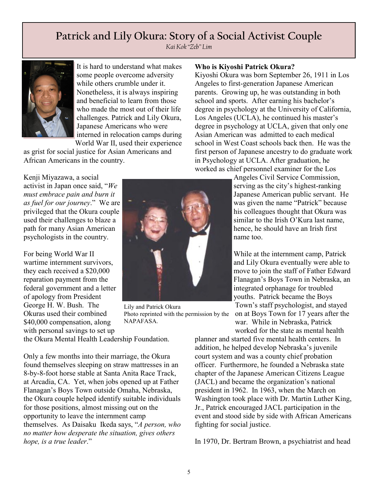# **Patrick and Lily Okura: Story of a Social Activist Couple**

*Kai Kok "Zeb" Lim*



It is hard to understand what makes some people overcome adversity while others crumble under it. Nonetheless, it is always inspiring and beneficial to learn from those who made the most out of their life challenges. Patrick and Lily Okura, Japanese Americans who were interned in relocation camps during World War II, used their experience

as grist for social justice for Asian Americans and African Americans in the country.

Kenji Miyazawa, a social activist in Japan once said, "*We must embrace pain and burn it as fuel for our journey*." We are privileged that the Okura couple used their challenges to blaze a path for many Asian American psychologists in the country.

For being World War II wartime internment survivors, they each received a \$20,000 reparation payment from the federal government and a letter of apology from President George H. W. Bush. The Okuras used their combined \$40,000 compensation, along with personal savings to set up



Lily and Patrick Okura Photo reprinted with the permission by the NAPAFASA.

**Who is Kiyoshi Patrick Okura?**

Kiyoshi Okura was born September 26, 1911 in Los Angeles to first-generation Japanese American parents. Growing up, he was outstanding in both school and sports. After earning his bachelor's degree in psychology at the University of California, Los Angeles (UCLA), he continued his master's degree in psychology at UCLA, given that only one Asian American was admitted to each medical school in West Coast schools back then. He was the first person of Japanese ancestry to do graduate work in Psychology at UCLA. After graduation, he worked as chief personnel examiner for the Los

> Angeles Civil Service Commission, serving as the city's highest-ranking Japanese American public servant. He was given the name "Patrick" because his colleagues thought that Okura was similar to the Irish O'Kura last name, hence, he should have an Irish first name too.

While at the internment camp, Patrick and Lily Okura eventually were able to move to join the staff of Father Edward Flanagan's Boys Town in Nebraska, an integrated orphanage for troubled youths. Patrick became the Boys Town's staff psychologist, and stayed on at Boys Town for 17 years after the war. While in Nebraska, Patrick worked for the state as mental health

the Okura Mental Health Leadership Foundation.

Only a few months into their marriage, the Okura found themselves sleeping on straw mattresses in an 8-by-8-foot horse stable at Santa Anita Race Track, at Arcadia, CA. Yet, when jobs opened up at Father Flanagan's Boys Town outside Omaha, Nebraska, the Okura couple helped identify suitable individuals for those positions, almost missing out on the opportunity to leave the internment camp themselves. As Daisaku Ikeda says, "*A person, who no matter how desperate the situation, gives others hope, is a true leader*."

planner and started five mental health centers. In addition, he helped develop Nebraska's juvenile court system and was a county chief probation officer. Furthermore, he founded a Nebraska state chapter of the Japanese American Citizens League (JACL) and became the organization's national president in 1962. In 1963, when the March on Washington took place with Dr. Martin Luther King, Jr., Patrick encouraged JACL participation in the event and stood side by side with African Americans fighting for social justice.

In 1970, Dr. Bertram Brown, a psychiatrist and head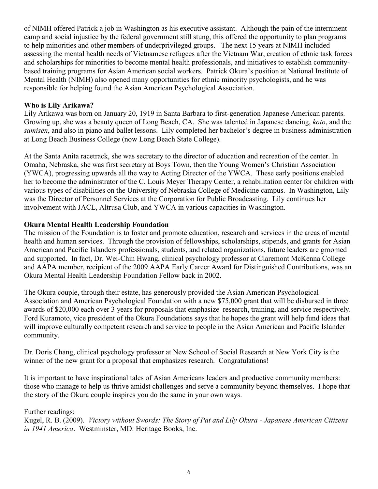of NIMH offered Patrick a job in Washington as his executive assistant. Although the pain of the internment camp and social injustice by the federal government still stung, this offered the opportunity to plan programs to help minorities and other members of underprivileged groups. The next 15 years at NIMH included assessing the mental health needs of Vietnamese refugees after the Vietnam War, creation of ethnic task forces and scholarships for minorities to become mental health professionals, and initiatives to establish communitybased training programs for Asian American social workers. Patrick Okura's position at National Institute of Mental Health (NIMH) also opened many opportunities for ethnic minority psychologists, and he was responsible for helping found the Asian American Psychological Association.

### **Who is Lily Arikawa?**

Lily Arikawa was born on January 20, 1919 in Santa Barbara to first-generation Japanese American parents. Growing up, she was a beauty queen of Long Beach, CA. She was talented in Japanese dancing, *koto*, and the *samisen*, and also in piano and ballet lessons. Lily completed her bachelor's degree in business administration at Long Beach Business College (now Long Beach State College).

At the Santa Anita racetrack, she was secretary to the director of education and recreation of the center. In Omaha, Nebraska, she was first secretary at Boys Town, then the Young Women's Christian Association (YWCA), progressing upwards all the way to Acting Director of the YWCA. These early positions enabled her to become the administrator of the C. Louis Meyer Therapy Center, a rehabilitation center for children with various types of disabilities on the University of Nebraska College of Medicine campus. In Washington, Lily was the Director of Personnel Services at the Corporation for Public Broadcasting. Lily continues her involvement with JACL, Altrusa Club, and YWCA in various capacities in Washington.

### **Okura Mental Health Leadership Foundation**

The mission of the Foundation is to foster and promote education, research and services in the areas of mental health and human services. Through the provision of fellowships, scholarships, stipends, and grants for Asian American and Pacific Islanders professionals, students, and related organizations, future leaders are groomed and supported. In fact, Dr. Wei-Chin Hwang, clinical psychology professor at Claremont McKenna College and AAPA member, recipient of the 2009 AAPA Early Career Award for Distinguished Contributions, was an Okura Mental Health Leadership Foundation Fellow back in 2002.

The Okura couple, through their estate, has generously provided the Asian American Psychological Association and American Psychological Foundation with a new \$75,000 grant that will be disbursed in three awards of \$20,000 each over 3 years for proposals that emphasize research, training, and service respectively. Ford Kuramoto, vice president of the Okura Foundations says that he hopes the grant will help fund ideas that will improve culturally competent research and service to people in the Asian American and Pacific Islander community.

Dr. Doris Chang, clinical psychology professor at New School of Social Research at New York City is the winner of the new grant for a proposal that emphasizes research. Congratulations!

It is important to have inspirational tales of Asian Americans leaders and productive community members: those who manage to help us thrive amidst challenges and serve a community beyond themselves. I hope that the story of the Okura couple inspires you do the same in your own ways.

### Further readings:

Kugel, R. B. (2009). *Victory without Swords: The Story of Pat and Lily Okura - Japanese American Citizens in 1941 America*. Westminster, MD: Heritage Books, Inc.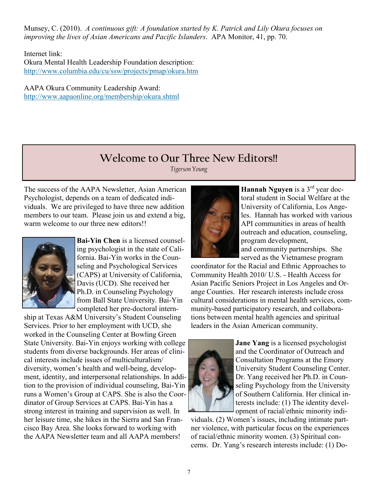Munsey, C. (2010). *A continuous gift: A foundation started by K. Patrick and Lily Okura focuses on improving the lives of Asian Americans and Pacific Islanders*. APA Monitor, 41, pp. 70.

Internet link: Okura Mental Health Leadership Foundation description: <http://www.columbia.edu/cu/ssw/projects/pmap/okura.htm>

AAPA Okura Community Leadership Award: <http://www.aapaonline.org/membership/okura.shtml>

## **Welcome to Our Three New Editors!!**

*Tigerson Young*

The success of the AAPA Newsletter, Asian American Psychologist, depends on a team of dedicated individuals. We are privileged to have three new addition members to our team. Please join us and extend a big, warm welcome to our three new editors!!



**Bai-Yin Chen** is a licensed counseling psychologist in the state of California. Bai-Yin works in the Counseling and Psychological Services (CAPS) at University of California, Davis (UCD). She received her Ph.D. in Counseling Psychology from Ball State University. Bai-Yin completed her pre-doctoral intern-

ship at Texas A&M University's Student Counseling Services. Prior to her employment with UCD, she worked in the Counseling Center at Bowling Green State University. Bai-Yin enjoys working with college students from diverse backgrounds. Her areas of clinical interests include issues of multiculturalism/ diversity, women's health and well-being, development, identity, and interpersonal relationships. In addition to the provision of individual counseling, Bai-Yin runs a Women's Group at CAPS. She is also the Coordinator of Group Services at CAPS. Bai-Yin has a strong interest in training and supervision as well. In her leisure time, she hikes in the Sierra and San Francisco Bay Area. She looks forward to working with the AAPA Newsletter team and all AAPA members!



**Hannah Nguyen** is a 3<sup>rd</sup> year doctoral student in Social Welfare at the University of California, Los Angeles. Hannah has worked with various API communities in areas of health outreach and education, counseling, program development, and community partnerships. She

served as the Vietnamese program

coordinator for the Racial and Ethnic Approaches to Community Health 2010/ U.S. - Health Access for Asian Pacific Seniors Project in Los Angeles and Orange Counties. Her research interests include cross cultural considerations in mental health services, community-based participatory research, and collaborations between mental health agencies and spiritual leaders in the Asian American community.



**Jane Yang** is a licensed psychologist and the Coordinator of Outreach and Consultation Programs at the Emory University Student Counseling Center. Dr. Yang received her Ph.D. in Counseling Psychology from the University of Southern California. Her clinical interests include: (1) The identity development of racial/ethnic minority indi-

viduals. (2) Women's issues, including intimate partner violence, with particular focus on the experiences of racial/ethnic minority women. (3) Spiritual concerns. Dr. Yang's research interests include: (1) Do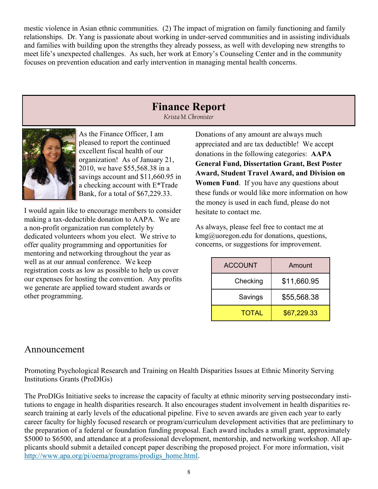mestic violence in Asian ethnic communities. (2) The impact of migration on family functioning and family relationships. Dr. Yang is passionate about working in under-served communities and in assisting individuals and families with building upon the strengths they already possess, as well with developing new strengths to meet life's unexpected challenges. As such, her work at Emory's Counseling Center and in the community focuses on prevention education and early intervention in managing mental health concerns.

## **Finance Report**

*Krista M. Chronister*



As the Finance Officer, I am pleased to report the continued excellent fiscal health of our organization! As of January 21, 2010, we have \$55,568.38 in a savings account and \$11,660.95 in a checking account with E\*Trade Bank, for a total of \$67,229.33.

I would again like to encourage members to consider making a tax-deductible donation to AAPA. We are a non-profit organization run completely by dedicated volunteers whom you elect. We strive to offer quality programming and opportunities for mentoring and networking throughout the year as well as at our annual conference. We keep registration costs as low as possible to help us cover our expenses for hosting the convention. Any profits we generate are applied toward student awards or other programming.

Donations of any amount are always much appreciated and are tax deductible! We accept donations in the following categories: **AAPA General Fund, Dissertation Grant, Best Poster Award, Student Travel Award, and Division on Women Fund**. If you have any questions about these funds or would like more information on how the money is used in each fund, please do not hesitate to contact me.

As always, please feel free to contact me at  $\text{kmg}(a)$  uoregon.edu for donations, questions, concerns, or suggestions for improvement.

| <b>ACCOUNT</b> | Amount      |
|----------------|-------------|
| Checking       | \$11,660.95 |
| Savings        | \$55,568.38 |
| <b>TOTAL</b>   | \$67,229.33 |

## Announcement

Promoting Psychological Research and Training on Health Disparities Issues at Ethnic Minority Serving Institutions Grants (ProDIGs)

The ProDIGs Initiative seeks to increase the capacity of faculty at ethnic minority serving postsecondary institutions to engage in health disparities research. It also encourages student involvement in health disparities research training at early levels of the educational pipeline. Five to seven awards are given each year to early career faculty for highly focused research or program/curriculum development activities that are preliminary to the preparation of a federal or foundation funding proposal. Each award includes a small grant, approximately \$5000 to \$6500, and attendance at a professional development, mentorship, and networking workshop. All applicants should submit a detailed concept paper describing the proposed project. For more information, visit [http://www.apa.org/pi/oema/programs/prodigs\\_home.html.](http://www.apa.org/pi/oema/programs/prodigs_home.html)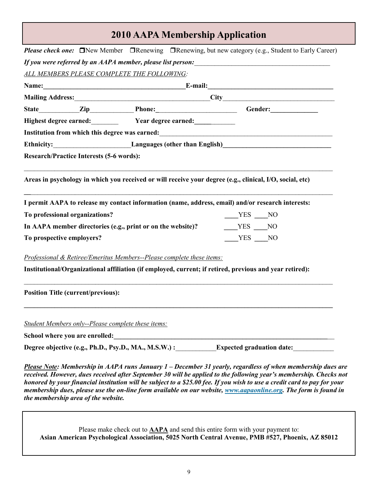## **2010 AAPA Membership Application**

|                                |                                                 | Highest degree earned: Vear degree earned: Vear degree earned:                                                                                                                                                                         |          |
|--------------------------------|-------------------------------------------------|----------------------------------------------------------------------------------------------------------------------------------------------------------------------------------------------------------------------------------------|----------|
|                                |                                                 | Institution from which this degree was earned:<br><u> and the contract of the contract of the contract of the contract of the contract of the contract of the contract of the contract of the contract of the contract of the cont</u> |          |
| <b>Ethnicity:</b>              |                                                 | <b>Example 26 Languages (other than English)</b>                                                                                                                                                                                       |          |
|                                | <b>Research/Practice Interests (5-6 words):</b> |                                                                                                                                                                                                                                        |          |
|                                |                                                 | Areas in psychology in which you received or will receive your degree (e.g., clinical, I/O, social, etc)                                                                                                                               |          |
|                                |                                                 | I permit AAPA to release my contact information (name, address, email) and/or research interests:                                                                                                                                      |          |
|                                |                                                 |                                                                                                                                                                                                                                        | $YES$ NO |
| To professional organizations? |                                                 |                                                                                                                                                                                                                                        |          |
|                                |                                                 | In AAPA member directories (e.g., print or on the website)?                                                                                                                                                                            | $YES$ NO |
| To prospective employers?      |                                                 |                                                                                                                                                                                                                                        | YES NO   |
|                                |                                                 | Professional & Retiree/Emeritus Members--Please complete these items:                                                                                                                                                                  |          |
|                                |                                                 | Institutional/Organizational affiliation (if employed, current; if retired, previous and year retired):                                                                                                                                |          |
|                                | <b>Position Title (current/previous):</b>       |                                                                                                                                                                                                                                        |          |
|                                |                                                 |                                                                                                                                                                                                                                        |          |
|                                |                                                 | <b>Student Members only--Please complete these items:</b>                                                                                                                                                                              |          |

*Please Note: Membership in AAPA runs January 1 – December 31 yearly, regardless of when membership dues are received. However, dues received after September 30 will be applied to the following year's membership. Checks not honored by your financial institution will be subject to a \$25.00 fee. If you wish to use a credit card to pay for your membership dues, please use the on-line form available on our website, [www.aapaonline.org.](http://www.aapaonline.org) The form is found in the membership area of the website.*

Please make check out to **AAPA** and send this entire form with your payment to: **Asian American Psychological Association, 5025 North Central Avenue, PMB #527, Phoenix, AZ 85012**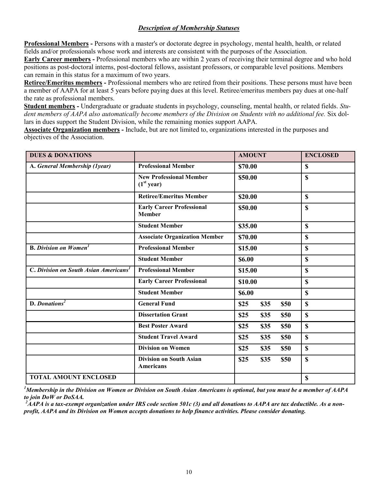### *Description of Membership Statuses*

**Professional Members -** Persons with a master's or doctorate degree in psychology, mental health, health, or related fields and/or professionals whose work and interests are consistent with the purposes of the Association.

**Early Career members -** Professional members who are within 2 years of receiving their terminal degree and who hold positions as post-doctoral interns, post-doctoral fellows, assistant professors, or comparable level positions. Members can remain in this status for a maximum of two years.

**Retiree/Emeritus members -** Professional members who are retired from their positions. These persons must have been a member of AAPA for at least 5 years before paying dues at this level. Retiree/emeritus members pay dues at one-half the rate as professional members.

**Student members -** Undergraduate or graduate students in psychology, counseling, mental health, or related fields. *Student members of AAPA also automatically become members of the Division on Students with no additional fee.* Six dollars in dues support the Student Division, while the remaining monies support AAPA.

**Associate Organization members -** Include, but are not limited to, organizations interested in the purposes and objectives of the Association.

| <b>DUES &amp; DONATIONS</b>                       |                                                          | <b>AMOUNT</b>        | <b>ENCLOSED</b> |
|---------------------------------------------------|----------------------------------------------------------|----------------------|-----------------|
| A. General Membership (1year)                     | <b>Professional Member</b>                               | \$70.00              | $\mathbf S$     |
|                                                   | <b>New Professional Member</b><br>(1 <sup>st</sup> year) | \$50.00              | $\mathbf S$     |
|                                                   | <b>Retiree/Emeritus Member</b>                           | \$20.00              | $\mathbf S$     |
|                                                   | <b>Early Career Professional</b><br><b>Member</b>        | \$50.00              | \$              |
|                                                   | <b>Student Member</b>                                    | \$35.00              | $\mathbf S$     |
|                                                   | <b>Associate Organization Member</b>                     | \$70.00              | $\mathbf S$     |
| <b>B.</b> Division on Women <sup>1</sup>          | <b>Professional Member</b>                               | \$15.00              | $\mathbf S$     |
|                                                   | <b>Student Member</b>                                    | \$6.00               | $\mathbf S$     |
| C. Division on South Asian Americans <sup>1</sup> | <b>Professional Member</b>                               | \$15.00              | $\mathbf S$     |
|                                                   | <b>Early Career Professional</b>                         | \$10.00              | $\mathbf S$     |
|                                                   | <b>Student Member</b>                                    | \$6.00               | $\mathbf S$     |
| $D.$ Donations <sup>2</sup>                       | <b>General Fund</b>                                      | \$25<br>\$35<br>\$50 | $\mathbf S$     |
|                                                   | <b>Dissertation Grant</b>                                | \$25<br>\$35<br>\$50 | $\mathbf S$     |
|                                                   | <b>Best Poster Award</b>                                 | \$25<br>\$35<br>\$50 | $\mathbf S$     |
|                                                   | <b>Student Travel Award</b>                              | \$25<br>\$35<br>\$50 | $\mathbf S$     |
|                                                   | <b>Division on Women</b>                                 | \$25<br>\$35<br>\$50 | $\mathbf S$     |
|                                                   | <b>Division on South Asian</b><br><b>Americans</b>       | \$25<br>\$35<br>\$50 | $\mathbf S$     |
| <b>TOTAL AMOUNT ENCLOSED</b>                      |                                                          |                      | $\mathbf S$     |

*<sup>1</sup>Membership in the Division on Women or Division on South Asian Americans is optional, but you must be a member of AAPA to join DoW or DoSAA.*

*<sup>2</sup>AAPA is a tax-exempt organization under IRS code section 501c (3) and all donations to AAPA are tax deductible. As a nonprofit, AAPA and its Division on Women accepts donations to help finance activities. Please consider donating.*